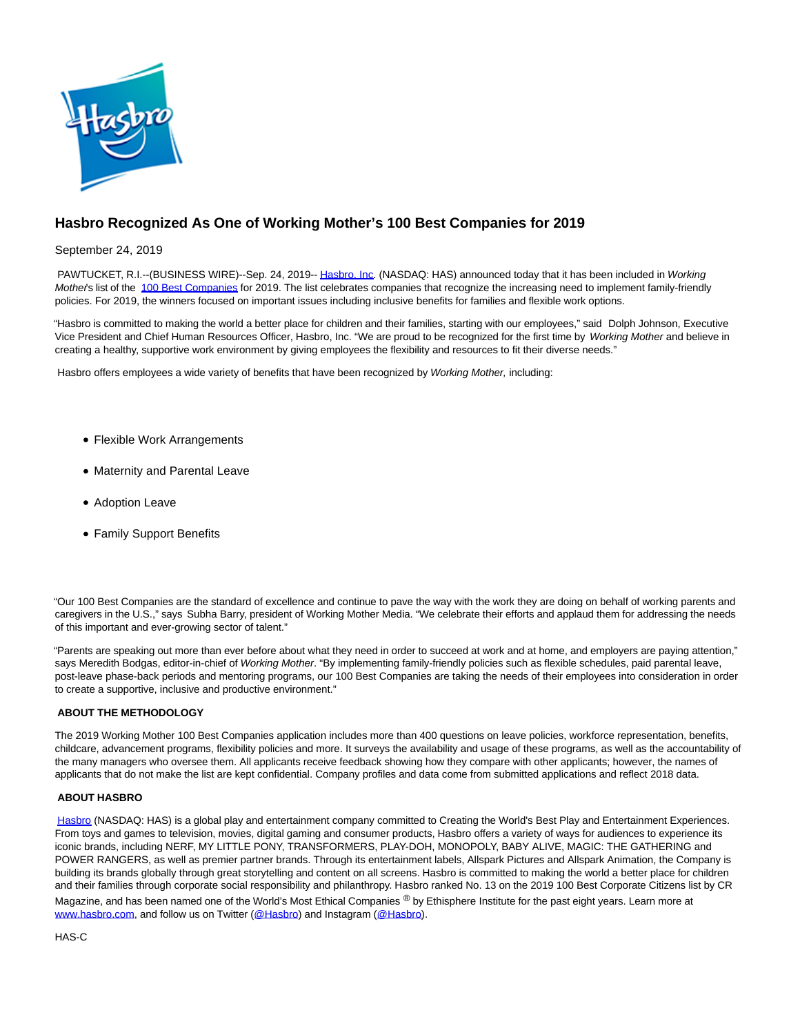

## **Hasbro Recognized As One of Working Mother's 100 Best Companies for 2019**

September 24, 2019

PAWTUCKET, R.I.--(BUSINESS WIRE)--Sep. 24, 2019-[- Hasbro, Inc.](https://cts.businesswire.com/ct/CT?id=smartlink&url=http%3A%2F%2Fwww.hasbro.com%2F&esheet=52099347&newsitemid=20190924005107&lan=en-US&anchor=Hasbro%2C+Inc&index=1&md5=c0f8f8287303d67b39d2d5d8dd010993) (NASDAQ: HAS) announced today that it has been included in Working Mother's list of the [100 Best Companies f](https://cts.businesswire.com/ct/CT?id=smartlink&url=https%3A%2F%2Fwww.workingmother.com%2Fworking-mother-100-best-companies-2019&esheet=52099347&newsitemid=20190924005107&lan=en-US&anchor=100+Best+Companies&index=2&md5=0bccc51636f0abaca01cf68a64771912)or 2019. The list celebrates companies that recognize the increasing need to implement family-friendly policies. For 2019, the winners focused on important issues including inclusive benefits for families and flexible work options.

"Hasbro is committed to making the world a better place for children and their families, starting with our employees," said Dolph Johnson, Executive Vice President and Chief Human Resources Officer, Hasbro, Inc. "We are proud to be recognized for the first time by Working Mother and believe in creating a healthy, supportive work environment by giving employees the flexibility and resources to fit their diverse needs."

Hasbro offers employees a wide variety of benefits that have been recognized by Working Mother, including:

- Flexible Work Arrangements
- Maternity and Parental Leave
- Adoption Leave
- Family Support Benefits

"Our 100 Best Companies are the standard of excellence and continue to pave the way with the work they are doing on behalf of working parents and caregivers in the U.S.," says Subha Barry, president of Working Mother Media. "We celebrate their efforts and applaud them for addressing the needs of this important and ever-growing sector of talent."

"Parents are speaking out more than ever before about what they need in order to succeed at work and at home, and employers are paying attention," says Meredith Bodgas, editor-in-chief of Working Mother. "By implementing family-friendly policies such as flexible schedules, paid parental leave, post-leave phase-back periods and mentoring programs, our 100 Best Companies are taking the needs of their employees into consideration in order to create a supportive, inclusive and productive environment."

## **ABOUT THE METHODOLOGY**

The 2019 Working Mother 100 Best Companies application includes more than 400 questions on leave policies, workforce representation, benefits, childcare, advancement programs, flexibility policies and more. It surveys the availability and usage of these programs, as well as the accountability of the many managers who oversee them. All applicants receive feedback showing how they compare with other applicants; however, the names of applicants that do not make the list are kept confidential. Company profiles and data come from submitted applications and reflect 2018 data.

## **ABOUT HASBRO**

[Hasbro \(](https://cts.businesswire.com/ct/CT?id=smartlink&url=https%3A%2F%2Fnam03.safelinks.protection.outlook.com%2F%3Furl%3Dhttps%253A%252F%252Fshop.hasbro.com%252Fen-us%26data%3D02%257C01%257CLeah.Davies%2540Hasbro.com%257Cb48eb136dd9049514cd908d6d9301dc9%257C701edd3ec7a84789b1ce8a243620d68f%257C0%257C0%257C636935198014022455%26sdata%3DX%252Brgrpr0JL8UyjrfZET7ow381X1uyUcOoaMpvrNO4qU%253D%26reserved%3D0&esheet=52099347&newsitemid=20190924005107&lan=en-US&anchor=Hasbro&index=3&md5=59d3d482051ee4d7281de4cf435d6260)NASDAQ: HAS) is a global play and entertainment company committed to Creating the World's Best Play and Entertainment Experiences. From toys and games to television, movies, digital gaming and consumer products, Hasbro offers a variety of ways for audiences to experience its iconic brands, including NERF, MY LITTLE PONY, TRANSFORMERS, PLAY-DOH, MONOPOLY, BABY ALIVE, MAGIC: THE GATHERING and POWER RANGERS, as well as premier partner brands. Through its entertainment labels, Allspark Pictures and Allspark Animation, the Company is building its brands globally through great storytelling and content on all screens. Hasbro is committed to making the world a better place for children and their families through corporate social responsibility and philanthropy. Hasbro ranked No. 13 on the 2019 100 Best Corporate Citizens list by CR Magazine, and has been named one of the World's Most Ethical Companies ® by Ethisphere Institute for the past eight years. Learn more at [www.hasbro.com,](https://cts.businesswire.com/ct/CT?id=smartlink&url=https%3A%2F%2Fnam03.safelinks.protection.outlook.com%2F%3Furl%3Dhttps%253A%252F%252Fshop.hasbro.com%252Fen-us%26data%3D02%257C01%257CLeah.Davies%2540Hasbro.com%257Cb48eb136dd9049514cd908d6d9301dc9%257C701edd3ec7a84789b1ce8a243620d68f%257C0%257C0%257C636935198014032459%26sdata%3DK3gJ9lXbmd5cEqwXi%252FUI3K4zp%252BEoDiajU%252BaHhiYopgo%253D%26reserved%3D0&esheet=52099347&newsitemid=20190924005107&lan=en-US&anchor=www.hasbro.com&index=4&md5=73fbe796b803bff496f105a7c564824e) and follow us on Twitter [\(@Hasbro\)](https://cts.businesswire.com/ct/CT?id=smartlink&url=https%3A%2F%2Fnam03.safelinks.protection.outlook.com%2F%3Furl%3Dhttps%253A%252F%252Ftwitter.com%252Fhasbro%253Flang%253Den%26data%3D02%257C01%257CLeah.Davies%2540Hasbro.com%257Cb48eb136dd9049514cd908d6d9301dc9%257C701edd3ec7a84789b1ce8a243620d68f%257C0%257C0%257C636935198014042472%26sdata%3DaokQAzHUdvC3SkJ0NUX5gNcjaZTCvY4Hg28YirIJeoo%253D%26reserved%3D0&esheet=52099347&newsitemid=20190924005107&lan=en-US&anchor=%40Hasbro&index=5&md5=554dd3b7ef8e5f1c9057e90d24c557e9) and Instagram [\(@Hasbro\).](https://cts.businesswire.com/ct/CT?id=smartlink&url=https%3A%2F%2Fnam03.safelinks.protection.outlook.com%2F%3Furl%3Dhttps%253A%252F%252Finstagram.com%252Fhasbro%252F%253Fhl%253Den%26data%3D02%257C01%257CLeah.Davies%2540Hasbro.com%257Cb48eb136dd9049514cd908d6d9301dc9%257C701edd3ec7a84789b1ce8a243620d68f%257C0%257C0%257C636935198014042472%26sdata%3DbKiSKZlgw9%252F3qFJjemEekBOlnBMZK5N8vJKNVCbpuJA%253D%26reserved%3D0&esheet=52099347&newsitemid=20190924005107&lan=en-US&anchor=%40Hasbro&index=6&md5=6df5173f30423f88d50323914a04b194)